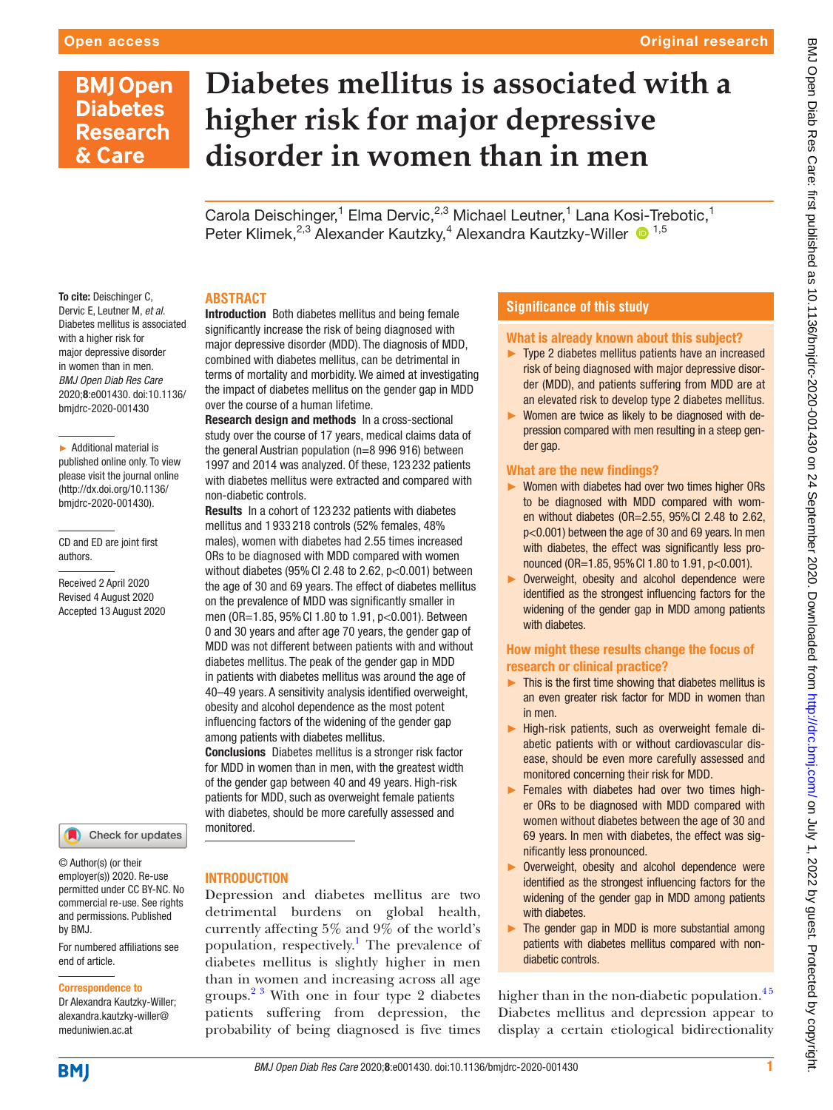# **BMJ Open Diabetes Research** & Care

# **Diabetes mellitus is associated with a higher risk for major depressive disorder in women than in men**

Carola Deischinger,<sup>1</sup> Elma Dervic,<sup>2,3</sup> Michael Leutner,<sup>1</sup> Lana Kosi-Trebotic,<sup>1</sup> Peter Klimek,<sup>2,3</sup> Alexander Kautzky,<sup>4</sup> Alexandra Kautzky-Willer <sup>1,5</sup>

#### **ABSTRACT** Introduction Both diabetes mellitus and being female

significantly increase the risk of being diagnosed with major depressive disorder (MDD). The diagnosis of MDD, combined with diabetes mellitus, can be detrimental in terms of mortality and morbidity. We aimed at investigating the impact of diabetes mellitus on the gender gap in MDD

Research design and methods In a cross-sectional study over the course of 17 years, medical claims data of the general Austrian population (n=8 996 916) between 1997 and 2014 was analyzed. Of these, 123 232 patients with diabetes mellitus were extracted and compared with

Results In a cohort of 123 232 patients with diabetes mellitus and 1 933 218 controls (52% females, 48% males), women with diabetes had 2.55 times increased ORs to be diagnosed with MDD compared with women without diabetes (95% Cl 2.48 to 2.62,  $p<0.001$ ) between the age of 30 and 69 years. The effect of diabetes mellitus on the prevalence of MDD was significantly smaller in men (OR=1.85, 95%CI 1.80 to 1.91, p<0.001). Between 0 and 30 years and after age 70 years, the gender gap of MDD was not different between patients with and without diabetes mellitus. The peak of the gender gap in MDD in patients with diabetes mellitus was around the age of 40–49 years. A sensitivity analysis identified overweight, obesity and alcohol dependence as the most potent influencing factors of the widening of the gender gap

over the course of a human lifetime.

among patients with diabetes mellitus.

Conclusions Diabetes mellitus is a stronger risk factor for MDD in women than in men, with the greatest width of the gender gap between 40 and 49 years. High-risk patients for MDD, such as overweight female patients with diabetes, should be more carefully assessed and

non-diabetic controls.

To cite: Deischinger C, Dervic E, Leutner M, *et al*. Diabetes mellitus is associated with a higher risk for major depressive disorder in women than in men. *BMJ Open Diab Res Care* 2020;8:e001430. doi:10.1136/ bmjdrc-2020-001430

► Additional material is published online only. To view please visit the journal online (http://dx.doi.org/10.1136/ bmjdrc-2020-001430).

CD and ED are joint first authors.

Received 2 April 2020 Revised 4 August 2020 Accepted 13 August 2020

Check for updates

© Author(s) (or their employer(s)) 2020. Re-use permitted under CC BY-NC. No commercial re-use. See rights and permissions. Published by BMJ.

For numbered affiliations see end of article.

#### Correspondence to

Dr Alexandra Kautzky-Willer; alexandra.kautzky-willer@ meduniwien.ac.at

#### **INTRODUCTION**

monitored.

Depression and diabetes mellitus are two detrimental burdens on global health, currently affecting 5% and 9% of the world's population, respectively.<sup>[1](#page-4-0)</sup> The prevalence of diabetes mellitus is slightly higher in men than in women and increasing across all age groups.<sup>2 3</sup> With one in four type 2 diabetes patients suffering from depression, the probability of being diagnosed is five times

### **Significance of this study**

#### What is already known about this subject?

- ► Type 2 diabetes mellitus patients have an increased risk of being diagnosed with major depressive disorder (MDD), and patients suffering from MDD are at an elevated risk to develop type 2 diabetes mellitus.
- ► Women are twice as likely to be diagnosed with depression compared with men resulting in a steep gender gap.

#### What are the new findings?

- ► Women with diabetes had over two times higher ORs to be diagnosed with MDD compared with women without diabetes (OR=2.55, 95%CI 2.48 to 2.62, p<0.001) between the age of 30 and 69 years. In men with diabetes, the effect was significantly less pronounced (OR=1.85, 95% CI 1.80 to 1.91, p<0.001).
- ► Overweight, obesity and alcohol dependence were identified as the strongest influencing factors for the widening of the gender gap in MDD among patients with diabetes.

## How might these results change the focus of research or clinical practice?

- $\blacktriangleright$  This is the first time showing that diabetes mellitus is an even greater risk factor for MDD in women than in men.
- ► High-risk patients, such as overweight female diabetic patients with or without cardiovascular disease, should be even more carefully assessed and monitored concerning their risk for MDD.
- ► Females with diabetes had over two times higher ORs to be diagnosed with MDD compared with women without diabetes between the age of 30 and 69 years. In men with diabetes, the effect was significantly less pronounced.
- ► Overweight, obesity and alcohol dependence were identified as the strongest influencing factors for the widening of the gender gap in MDD among patients with diabetes.
- $\blacktriangleright$  The gender gap in MDD is more substantial among patients with diabetes mellitus compared with nondiabetic controls.

higher than in the non-diabetic population. $45$ Diabetes mellitus and depression appear to display a certain etiological bidirectionality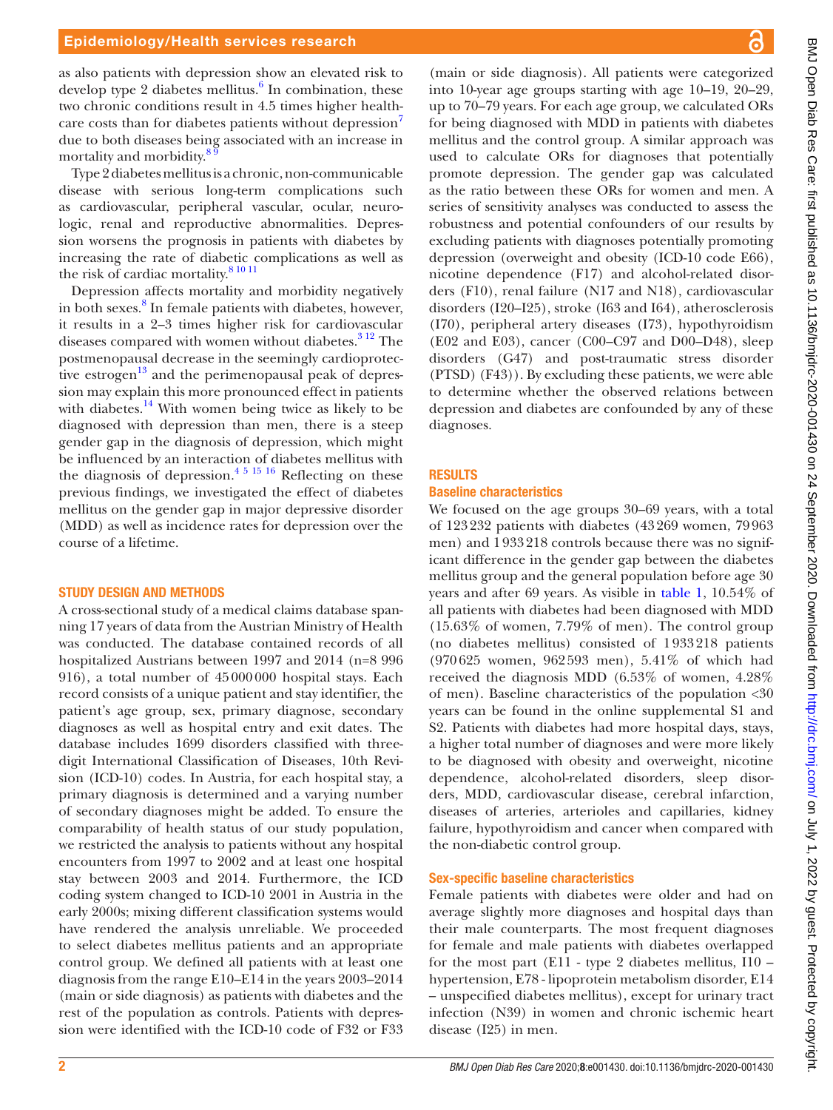as also patients with depression show an elevated risk to develop type 2 diabetes mellitus. $6$  In combination, these two chronic conditions result in 4.5 times higher health-care costs than for diabetes patients without depression<sup>[7](#page-5-1)</sup> due to both diseases being associated with an increase in mortality and morbidity.<sup>8</sup>

Type 2 diabetes mellitus is a chronic, non-communicable disease with serious long-term complications such as cardiovascular, peripheral vascular, ocular, neurologic, renal and reproductive abnormalities. Depression worsens the prognosis in patients with diabetes by increasing the rate of diabetic complications as well as the risk of cardiac mortality.<sup>[8 10 11](#page-5-2)</sup>

Depression affects mortality and morbidity negatively in both sexes.<sup>[8](#page-5-2)</sup> In female patients with diabetes, however, it results in a 2–3 times higher risk for cardiovascular diseases compared with women without diabetes.<sup>3 12</sup> The postmenopausal decrease in the seemingly cardioprotective estrogen $13$  and the perimenopausal peak of depression may explain this more pronounced effect in patients with diabetes. $14$  With women being twice as likely to be diagnosed with depression than men, there is a steep gender gap in the diagnosis of depression, which might be influenced by an interaction of diabetes mellitus with the diagnosis of depression.<sup>4 5 15 16</sup> Reflecting on these previous findings, we investigated the effect of diabetes mellitus on the gender gap in major depressive disorder (MDD) as well as incidence rates for depression over the course of a lifetime.

#### STUDY DESIGN AND METHODS

A cross-sectional study of a medical claims database spanning 17 years of data from the Austrian Ministry of Health was conducted. The database contained records of all hospitalized Austrians between 1997 and 2014 (n=8 996 916), a total number of 45000000 hospital stays. Each record consists of a unique patient and stay identifier, the patient's age group, sex, primary diagnose, secondary diagnoses as well as hospital entry and exit dates. The database includes 1699 disorders classified with threedigit International Classification of Diseases, 10th Revision (ICD-10) codes. In Austria, for each hospital stay, a primary diagnosis is determined and a varying number of secondary diagnoses might be added. To ensure the comparability of health status of our study population, we restricted the analysis to patients without any hospital encounters from 1997 to 2002 and at least one hospital stay between 2003 and 2014. Furthermore, the ICD coding system changed to ICD-10 2001 in Austria in the early 2000s; mixing different classification systems would have rendered the analysis unreliable. We proceeded to select diabetes mellitus patients and an appropriate control group. We defined all patients with at least one diagnosis from the range E10–E14 in the years 2003–2014 (main or side diagnosis) as patients with diabetes and the rest of the population as controls. Patients with depression were identified with the ICD-10 code of F32 or F33

(main or side diagnosis). All patients were categorized into 10-year age groups starting with age 10–19, 20–29, up to 70–79 years. For each age group, we calculated ORs for being diagnosed with MDD in patients with diabetes mellitus and the control group. A similar approach was used to calculate ORs for diagnoses that potentially promote depression. The gender gap was calculated as the ratio between these ORs for women and men. A series of sensitivity analyses was conducted to assess the robustness and potential confounders of our results by excluding patients with diagnoses potentially promoting depression (overweight and obesity (ICD-10 code E66), nicotine dependence (F17) and alcohol-related disorders (F10), renal failure (N17 and N18), cardiovascular disorders (I20–I25), stroke (I63 and I64), atherosclerosis (I70), peripheral artery diseases (I73), hypothyroidism (E02 and E03), cancer (C00–C97 and D00–D48), sleep disorders (G47) and post-traumatic stress disorder (PTSD) (F43)). By excluding these patients, we were able to determine whether the observed relations between depression and diabetes are confounded by any of these diagnoses.

#### RESULTS

#### Baseline characteristics

We focused on the age groups 30–69 years, with a total of 123232 patients with diabetes (43269 women, 79963 men) and 1933218 controls because there was no significant difference in the gender gap between the diabetes mellitus group and the general population before age 30 years and after 69 years. As visible in [table](#page-2-0) 1, 10.54% of all patients with diabetes had been diagnosed with MDD (15.63% of women, 7.79% of men). The control group (no diabetes mellitus) consisted of 1933218 patients (970625 women, 962593 men), 5.41% of which had received the diagnosis MDD (6.53% of women, 4.28% of men). Baseline characteristics of the population <30 years can be found in the [online supplemental S1 and](https://dx.doi.org/10.1136/bmjdrc-2020-001430) [S2](https://dx.doi.org/10.1136/bmjdrc-2020-001430). Patients with diabetes had more hospital days, stays, a higher total number of diagnoses and were more likely to be diagnosed with obesity and overweight, nicotine dependence, alcohol-related disorders, sleep disorders, MDD, cardiovascular disease, cerebral infarction, diseases of arteries, arterioles and capillaries, kidney failure, hypothyroidism and cancer when compared with the non-diabetic control group.

#### Sex-specific baseline characteristics

Female patients with diabetes were older and had on average slightly more diagnoses and hospital days than their male counterparts. The most frequent diagnoses for female and male patients with diabetes overlapped for the most part (E11 - type 2 diabetes mellitus,  $I10 - I$ hypertension, E78 - lipoprotein metabolism disorder, E14 – unspecified diabetes mellitus), except for urinary tract infection (N39) in women and chronic ischemic heart disease (I25) in men.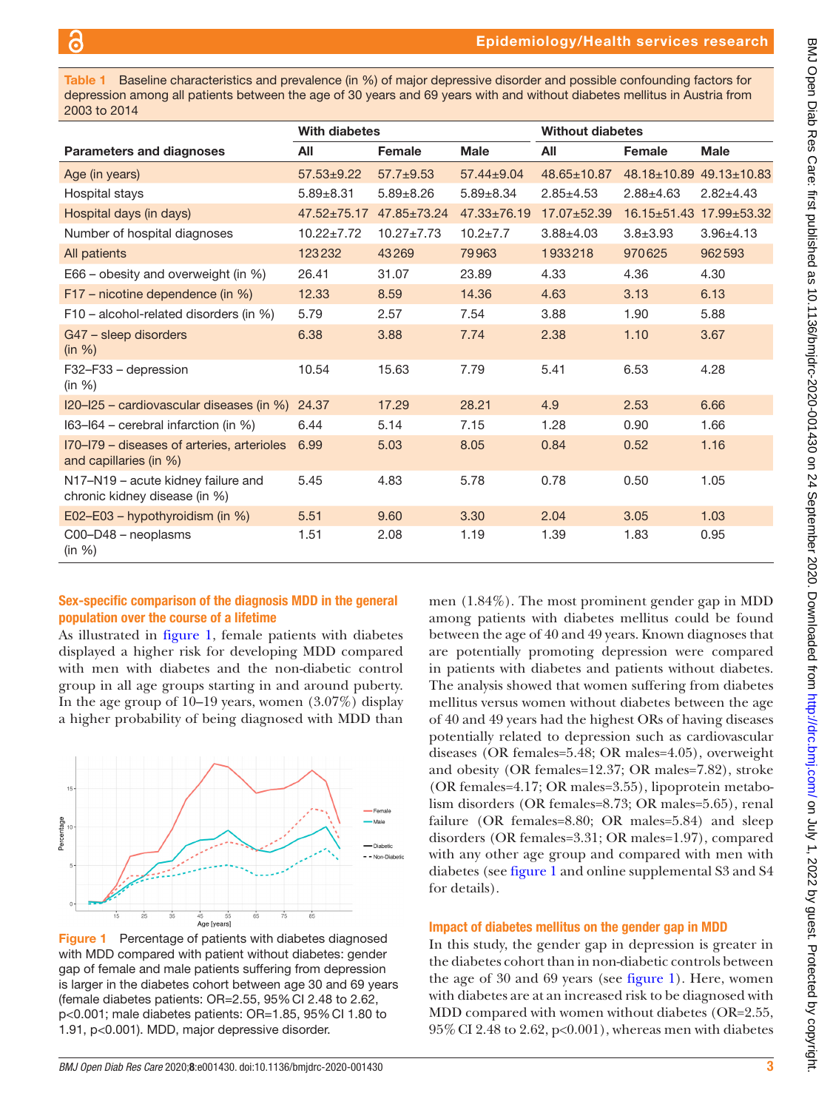<span id="page-2-0"></span>Table 1 Baseline characteristics and prevalence (in %) of major depressive disorder and possible confounding factors for depression among all patients between the age of 30 years and 69 years with and without diabetes mellitus in Austria from 2003 to 2014

|                                                                      | <b>With diabetes</b> |                  |                   | <b>Without diabetes</b> |               |                                     |
|----------------------------------------------------------------------|----------------------|------------------|-------------------|-------------------------|---------------|-------------------------------------|
| <b>Parameters and diagnoses</b>                                      | All                  | Female           | <b>Male</b>       | All                     | <b>Female</b> | <b>Male</b>                         |
| Age (in years)                                                       | $57.53 \pm 9.22$     | $57.7 + 9.53$    | $57.44 \pm 9.04$  | 48.65±10.87             |               | $48.18 \pm 10.89$ $49.13 \pm 10.83$ |
| Hospital stays                                                       | $5.89 + 8.31$        | $5.89 \pm 8.26$  | $5.89 \pm 8.34$   | $2.85 \pm 4.53$         | $2.88 + 4.63$ | $2.82 \pm 4.43$                     |
| Hospital days (in days)                                              | $47.52 \pm 75.17$    | 47.85±73.24      | $47.33 \pm 76.19$ | $17.07 + 52.39$         |               | 16.15±51.43 17.99±53.32             |
| Number of hospital diagnoses                                         | $10.22 \pm 7.72$     | $10.27 \pm 7.73$ | $10.2 \pm 7.7$    | $3.88 + 4.03$           | $3.8 + 3.93$  | $3.96 + 4.13$                       |
| All patients                                                         | 123232               | 43269            | 79963             | 1933218                 | 970625        | 962593                              |
| E66 – obesity and overweight (in %)                                  | 26.41                | 31.07            | 23.89             | 4.33                    | 4.36          | 4.30                                |
| F17 - nicotine dependence (in %)                                     | 12.33                | 8.59             | 14.36             | 4.63                    | 3.13          | 6.13                                |
| F10 – alcohol-related disorders (in %)                               | 5.79                 | 2.57             | 7.54              | 3.88                    | 1.90          | 5.88                                |
| $G47$ – sleep disorders<br>(in %)                                    | 6.38                 | 3.88             | 7.74              | 2.38                    | 1.10          | 3.67                                |
| F32-F33 - depression<br>(in %)                                       | 10.54                | 15.63            | 7.79              | 5.41                    | 6.53          | 4.28                                |
| $120-125$ – cardiovascular diseases (in %)                           | 24.37                | 17.29            | 28.21             | 4.9                     | 2.53          | 6.66                                |
| I63-I64 - cerebral infarction (in %)                                 | 6.44                 | 5.14             | 7.15              | 1.28                    | 0.90          | 1.66                                |
| I70-I79 - diseases of arteries, arterioles<br>and capillaries (in %) | 6.99                 | 5.03             | 8.05              | 0.84                    | 0.52          | 1.16                                |
| N17-N19 - acute kidney failure and<br>chronic kidney disease (in %)  | 5.45                 | 4.83             | 5.78              | 0.78                    | 0.50          | 1.05                                |
| E02-E03 - hypothyroidism (in %)                                      | 5.51                 | 9.60             | 3.30              | 2.04                    | 3.05          | 1.03                                |
| C00-D48 - neoplasms<br>(in %)                                        | 1.51                 | 2.08             | 1.19              | 1.39                    | 1.83          | 0.95                                |

#### Sex-specific comparison of the diagnosis MDD in the general population over the course of a lifetime

As illustrated in [figure](#page-2-1) 1, female patients with diabetes displayed a higher risk for developing MDD compared with men with diabetes and the non-diabetic control group in all age groups starting in and around puberty. In the age group of 10–19 years, women (3.07%) display a higher probability of being diagnosed with MDD than



<span id="page-2-1"></span>**Figure 1** Percentage of patients with diabetes diagnosed with MDD compared with patient without diabetes: gender gap of female and male patients suffering from depression is larger in the diabetes cohort between age 30 and 69 years (female diabetes patients: OR=2.55, 95%CI 2.48 to 2.62, p<0.001; male diabetes patients: OR=1.85, 95%CI 1.80 to 1.91, p<0.001). MDD, major depressive disorder.

men (1.84%). The most prominent gender gap in MDD among patients with diabetes mellitus could be found between the age of 40 and 49 years. Known diagnoses that are potentially promoting depression were compared in patients with diabetes and patients without diabetes. The analysis showed that women suffering from diabetes mellitus versus women without diabetes between the age of 40 and 49 years had the highest ORs of having diseases potentially related to depression such as cardiovascular diseases (OR females=5.48; OR males=4.05), overweight and obesity (OR females=12.37; OR males=7.82), stroke (OR females=4.17; OR males=3.55), lipoprotein metabolism disorders (OR females=8.73; OR males=5.65), renal failure (OR females=8.80; OR males=5.84) and sleep disorders (OR females=3.31; OR males=1.97), compared with any other age group and compared with men with diabetes (see [figure](#page-2-1) 1 and [online supplemental S3 and S4](https://dx.doi.org/10.1136/bmjdrc-2020-001430) for details).

#### Impact of diabetes mellitus on the gender gap in MDD

In this study, the gender gap in depression is greater in the diabetes cohort than in non-diabetic controls between the age of 30 and 69 years (see [figure](#page-2-1) 1). Here, women with diabetes are at an increased risk to be diagnosed with MDD compared with women without diabetes (OR=2.55, 95%CI 2.48 to 2.62, p<0.001), whereas men with diabetes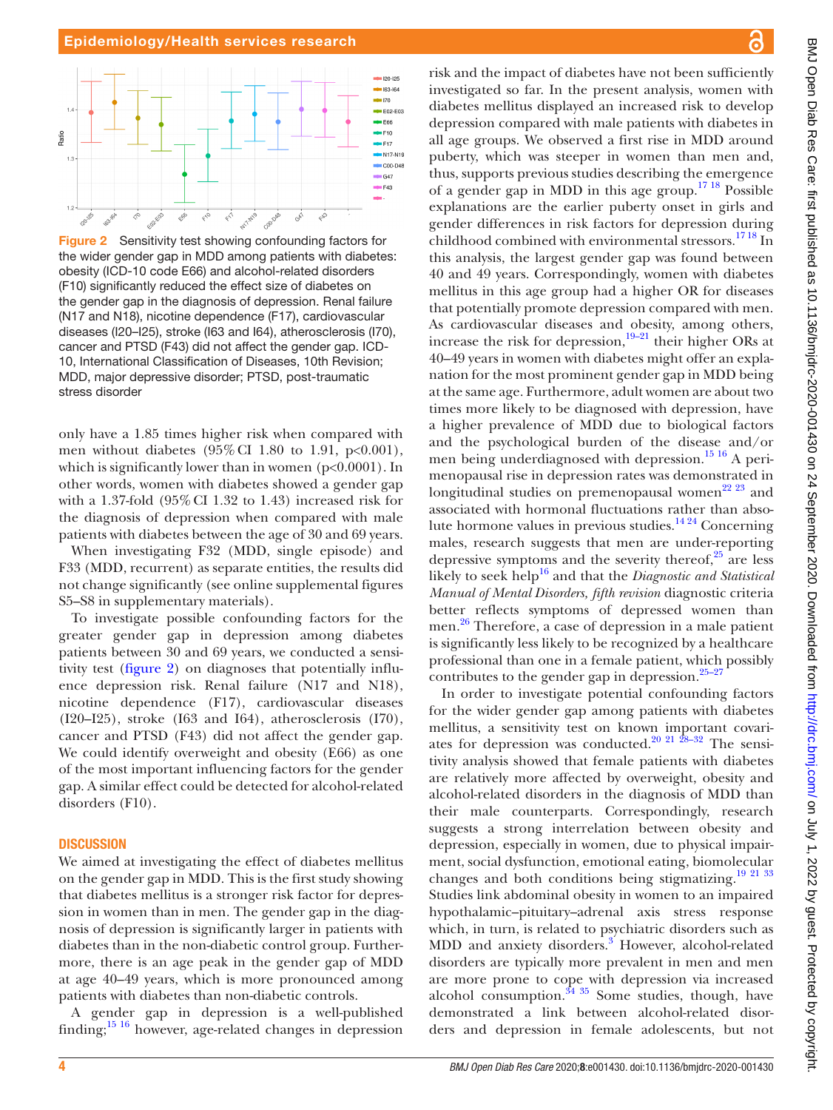

<span id="page-3-0"></span>Figure 2 Sensitivity test showing confounding factors for the wider gender gap in MDD among patients with diabetes: obesity (ICD-10 code E66) and alcohol-related disorders (F10) significantly reduced the effect size of diabetes on the gender gap in the diagnosis of depression. Renal failure (N17 and N18), nicotine dependence (F17), cardiovascular diseases (I20–I25), stroke (I63 and I64), atherosclerosis (I70), cancer and PTSD (F43) did not affect the gender gap. ICD-10, International Classification of Diseases, 10th Revision; MDD, major depressive disorder; PTSD, post-traumatic stress disorder

only have a 1.85 times higher risk when compared with men without diabetes  $(95\% \text{ CI } 1.80 \text{ to } 1.91, \text{ p} < 0.001)$ , which is significantly lower than in women  $(p<0.0001)$ . In other words, women with diabetes showed a gender gap with a 1.37-fold  $(95\% \text{ CI} 1.32 \text{ to } 1.43)$  increased risk for the diagnosis of depression when compared with male patients with diabetes between the age of 30 and 69 years.

When investigating F32 (MDD, single episode) and F33 (MDD, recurrent) as separate entities, the results did not change significantly (see [online supplemental figures](https://dx.doi.org/10.1136/bmjdrc-2020-001430) [S5–S8](https://dx.doi.org/10.1136/bmjdrc-2020-001430) in supplementary materials).

To investigate possible confounding factors for the greater gender gap in depression among diabetes patients between 30 and 69 years, we conducted a sensitivity test [\(figure](#page-3-0) 2) on diagnoses that potentially influence depression risk. Renal failure (N17 and N18), nicotine dependence (F17), cardiovascular diseases (I20–I25), stroke (I63 and I64), atherosclerosis (I70), cancer and PTSD (F43) did not affect the gender gap. We could identify overweight and obesity (E66) as one of the most important influencing factors for the gender gap. A similar effect could be detected for alcohol-related disorders (F10).

#### **DISCUSSION**

We aimed at investigating the effect of diabetes mellitus on the gender gap in MDD. This is the first study showing that diabetes mellitus is a stronger risk factor for depression in women than in men. The gender gap in the diagnosis of depression is significantly larger in patients with diabetes than in the non-diabetic control group. Furthermore, there is an age peak in the gender gap of MDD at age 40–49 years, which is more pronounced among patients with diabetes than non-diabetic controls.

A gender gap in depression is a well-published finding; $^{15}$ <sup>16</sup> however, age-related changes in depression

risk and the impact of diabetes have not been sufficiently investigated so far. In the present analysis, women with diabetes mellitus displayed an increased risk to develop depression compared with male patients with diabetes in all age groups. We observed a first rise in MDD around puberty, which was steeper in women than men and, thus, supports previous studies describing the emergence of a gender gap in MDD in this age group.<sup>[17 18](#page-5-6)</sup> Possible explanations are the earlier puberty onset in girls and gender differences in risk factors for depression during childhood combined with environmental stressors.<sup>1718</sup> In this analysis, the largest gender gap was found between 40 and 49 years. Correspondingly, women with diabetes mellitus in this age group had a higher OR for diseases that potentially promote depression compared with men. As cardiovascular diseases and obesity, among others, increase the risk for depression, $\frac{19-21}{9}$  their higher ORs at 40–49 years in women with diabetes might offer an explanation for the most prominent gender gap in MDD being at the same age. Furthermore, adult women are about two times more likely to be diagnosed with depression, have a higher prevalence of MDD due to biological factors and the psychological burden of the disease and/or men being underdiagnosed with depression.[15 16](#page-5-5) A perimenopausal rise in depression rates was demonstrated in longitudinal studies on premenopausal women<sup>22 23</sup> and associated with hormonal fluctuations rather than absolute hormone values in previous studies. $1424$  Concerning males, research suggests that men are under-reporting depressive symptoms and the severity thereof, $25$  are less likely to seek help<sup>16</sup> and that the *Diagnostic and Statistical Manual of Mental Disorders, fifth revision* diagnostic criteria better reflects symptoms of depressed women than men.[26](#page-5-11) Therefore, a case of depression in a male patient is significantly less likely to be recognized by a healthcare professional than one in a female patient, which possibly contributes to the gender gap in depression. $25-27$ 

In order to investigate potential confounding factors for the wider gender gap among patients with diabetes mellitus, a sensitivity test on known important covariates for depression was conducted.<sup>20 21 28–32</sup> The sensitivity analysis showed that female patients with diabetes are relatively more affected by overweight, obesity and alcohol-related disorders in the diagnosis of MDD than their male counterparts. Correspondingly, research suggests a strong interrelation between obesity and depression, especially in women, due to physical impairment, social dysfunction, emotional eating, biomolecular changes and both conditions being stigmatizing.<sup>[19 21 33](#page-5-7)</sup> Studies link abdominal obesity in women to an impaired hypothalamic–pituitary–adrenal axis stress response which, in turn, is related to psychiatric disorders such as MDD and anxiety disorders.<sup>3</sup> However, alcohol-related disorders are typically more prevalent in men and men are more prone to cope with depression via increased alcohol consumption.  $34 \frac{35}{25}$  Some studies, though, have demonstrated a link between alcohol-related disorders and depression in female adolescents, but not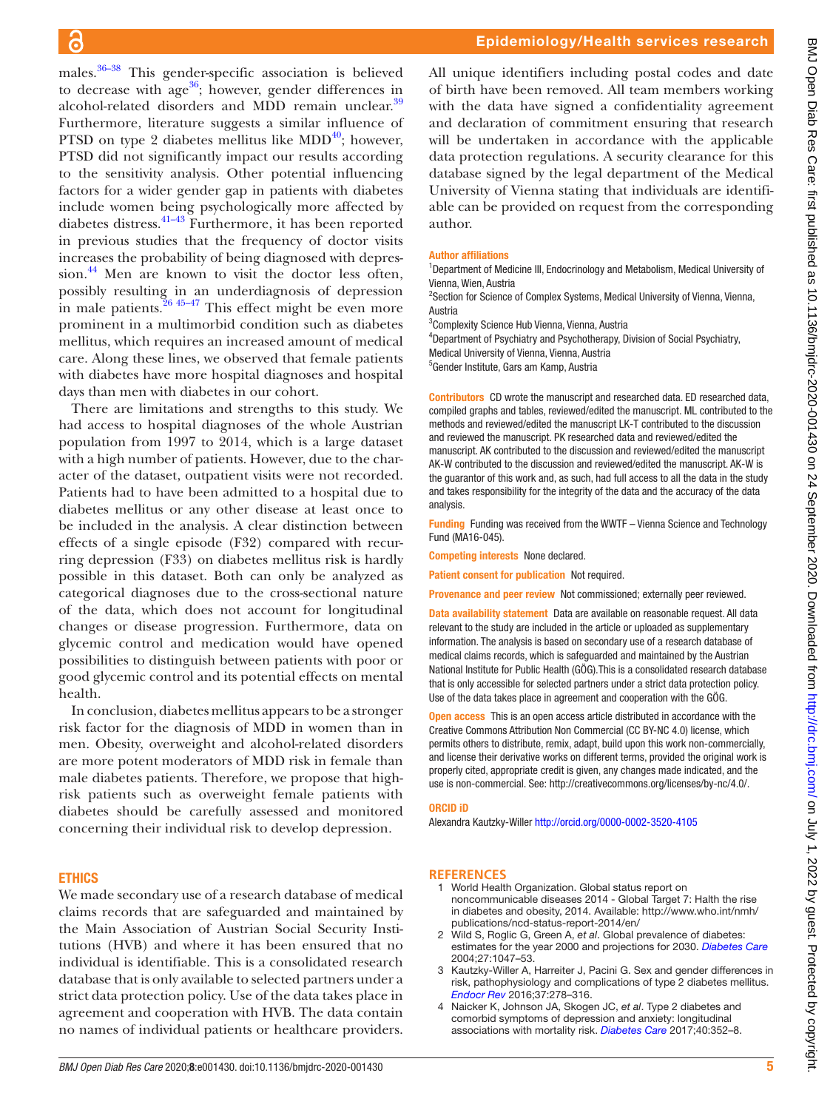males[.36–38](#page-5-14) This gender-specific association is believed to decrease with  $age^{36}$  $age^{36}$  $age^{36}$ ; however, gender differences in alcohol-related disorders and MDD remain unclear.<sup>[39](#page-5-15)</sup> Furthermore, literature suggests a similar influence of PTSD on type 2 diabetes mellitus like  $MDD<sup>40</sup>$  $MDD<sup>40</sup>$  $MDD<sup>40</sup>$ ; however, PTSD did not significantly impact our results according to the sensitivity analysis. Other potential influencing factors for a wider gender gap in patients with diabetes include women being psychologically more affected by diabetes distress.[41–43](#page-5-17) Furthermore, it has been reported in previous studies that the frequency of doctor visits increases the probability of being diagnosed with depres-sion.<sup>[44](#page-5-18)</sup> Men are known to visit the doctor less often, possibly resulting in an underdiagnosis of depression in male patients.<sup>26</sup>  $45-47$  This effect might be even more prominent in a multimorbid condition such as diabetes mellitus, which requires an increased amount of medical care. Along these lines, we observed that female patients with diabetes have more hospital diagnoses and hospital days than men with diabetes in our cohort.

There are limitations and strengths to this study. We had access to hospital diagnoses of the whole Austrian population from 1997 to 2014, which is a large dataset with a high number of patients. However, due to the character of the dataset, outpatient visits were not recorded. Patients had to have been admitted to a hospital due to diabetes mellitus or any other disease at least once to be included in the analysis. A clear distinction between effects of a single episode (F32) compared with recurring depression (F33) on diabetes mellitus risk is hardly possible in this dataset. Both can only be analyzed as categorical diagnoses due to the cross-sectional nature of the data, which does not account for longitudinal changes or disease progression. Furthermore, data on glycemic control and medication would have opened possibilities to distinguish between patients with poor or good glycemic control and its potential effects on mental health.

In conclusion, diabetes mellitus appears to be a stronger risk factor for the diagnosis of MDD in women than in men. Obesity, overweight and alcohol-related disorders are more potent moderators of MDD risk in female than male diabetes patients. Therefore, we propose that highrisk patients such as overweight female patients with diabetes should be carefully assessed and monitored concerning their individual risk to develop depression.

#### **ETHICS**

We made secondary use of a research database of medical claims records that are safeguarded and maintained by the Main Association of Austrian Social Security Institutions (HVB) and where it has been ensured that no individual is identifiable. This is a consolidated research database that is only available to selected partners under a strict data protection policy. Use of the data takes place in agreement and cooperation with HVB. The data contain no names of individual patients or healthcare providers.

All unique identifiers including postal codes and date of birth have been removed. All team members working with the data have signed a confidentiality agreement and declaration of commitment ensuring that research will be undertaken in accordance with the applicable data protection regulations. A security clearance for this database signed by the legal department of the Medical University of Vienna stating that individuals are identifiable can be provided on request from the corresponding author.

#### Author affiliations

<sup>1</sup>Department of Medicine III, Endocrinology and Metabolism, Medical University of Vienna, Wien, Austria

<sup>2</sup>Section for Science of Complex Systems, Medical University of Vienna, Vienna, Austria

<sup>3</sup> Complexity Science Hub Vienna, Vienna, Austria

4 Department of Psychiatry and Psychotherapy, Division of Social Psychiatry, Medical University of Vienna, Vienna, Austria

5 Gender Institute, Gars am Kamp, Austria

Contributors CD wrote the manuscript and researched data. ED researched data, compiled graphs and tables, reviewed/edited the manuscript. ML contributed to the methods and reviewed/edited the manuscript LK-T contributed to the discussion and reviewed the manuscript. PK researched data and reviewed/edited the manuscript. AK contributed to the discussion and reviewed/edited the manuscript AK-W contributed to the discussion and reviewed/edited the manuscript. AK-W is the guarantor of this work and, as such, had full access to all the data in the study and takes responsibility for the integrity of the data and the accuracy of the data analysis.

Funding Funding was received from the WWTF – Vienna Science and Technology Fund (MA16-045).

Competing interests None declared.

Patient consent for publication Not required.

Provenance and peer review Not commissioned; externally peer reviewed.

Data availability statement Data are available on reasonable request. All data relevant to the study are included in the article or uploaded as supplementary information. The analysis is based on secondary use of a research database of medical claims records, which is safeguarded and maintained by the Austrian National Institute for Public Health (GÖG).This is a consolidated research database that is only accessible for selected partners under a strict data protection policy. Use of the data takes place in agreement and cooperation with the GÖG.

Open access This is an open access article distributed in accordance with the Creative Commons Attribution Non Commercial (CC BY-NC 4.0) license, which permits others to distribute, remix, adapt, build upon this work non-commercially, and license their derivative works on different terms, provided the original work is properly cited, appropriate credit is given, any changes made indicated, and the use is non-commercial. See:<http://creativecommons.org/licenses/by-nc/4.0/>.

#### ORCID iD

Alexandra Kautzky-Willer <http://orcid.org/0000-0002-3520-4105>

#### **REFERENCES**

- <span id="page-4-0"></span>1 World Health Organization. Global status report on noncommunicable diseases 2014 - Global Target 7: Halth the rise in diabetes and obesity, 2014. Available: [http://www.who.int/nmh/](http://www.who.int/nmh/publications/ncd-status-report-2014/en/) [publications/ncd-status-report-2014/en/](http://www.who.int/nmh/publications/ncd-status-report-2014/en/)
- <span id="page-4-1"></span>2 Wild S, Roglic G, Green A, *et al*. Global prevalence of diabetes: estimates for the year 2000 and projections for 2030. *[Diabetes Care](http://dx.doi.org/10.2337/diacare.27.5.1047)* 2004;27:1047–53.
- <span id="page-4-3"></span>3 Kautzky-Willer A, Harreiter J, Pacini G. Sex and gender differences in risk, pathophysiology and complications of type 2 diabetes mellitus. *[Endocr Rev](http://dx.doi.org/10.1210/er.2015-1137)* 2016;37:278–316.
- <span id="page-4-2"></span>4 Naicker K, Johnson JA, Skogen JC, *et al*. Type 2 diabetes and comorbid symptoms of depression and anxiety: longitudinal associations with mortality risk. *[Diabetes Care](http://dx.doi.org/10.2337/dc16-2018)* 2017;40:352–8.